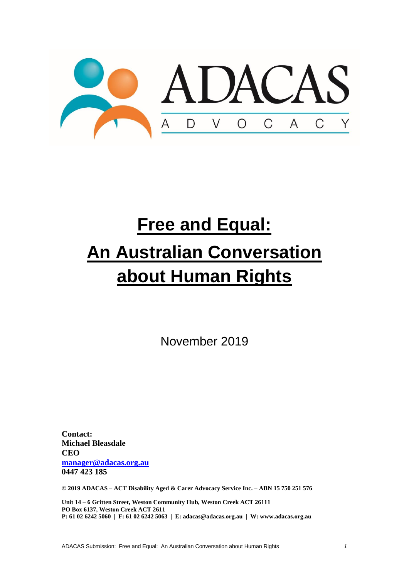

# **Free and Equal: An Australian Conversation about Human Rights**

November 2019

**Contact: Michael Bleasdale CEO [manager@adacas.org.au](mailto:manager@adacas.org.au) 0447 423 185**

**© 2019 ADACAS – ACT Disability Aged & Carer Advocacy Service Inc. – ABN 15 750 251 576**

**Unit 14 – 6 Gritten Street, Weston Community Hub, Weston Creek ACT 26111 PO Box 6137, Weston Creek ACT 2611 P: 61 02 6242 5060 | F: 61 02 6242 5063 | E: adacas@adacas.org.au | W: www.adacas.org.au**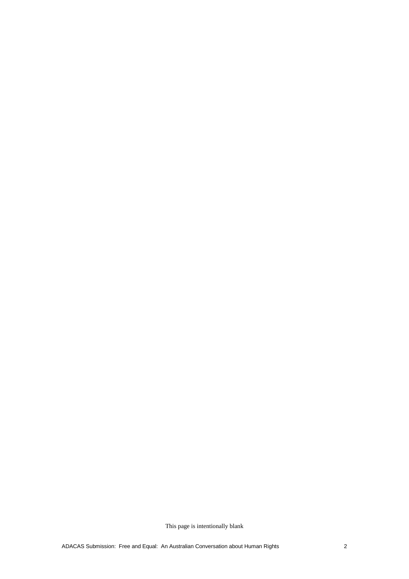This page is intentionally blank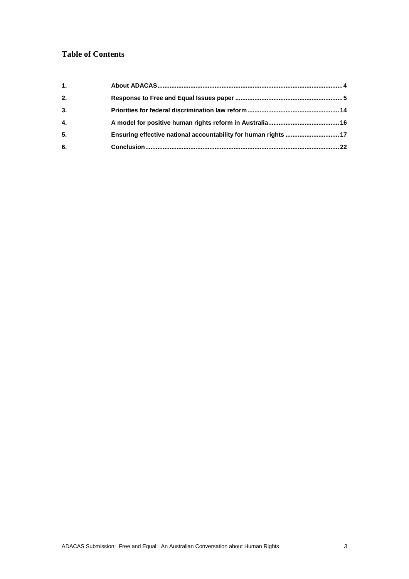## **Table of Contents**

| 1. |  |
|----|--|
| 2. |  |
| 3. |  |
| 4. |  |
| 5. |  |
| 6. |  |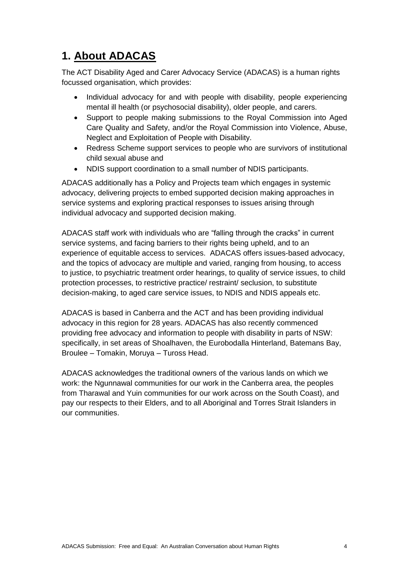# <span id="page-3-0"></span>**1. About ADACAS**

The ACT Disability Aged and Carer Advocacy Service (ADACAS) is a human rights focussed organisation, which provides:

- Individual advocacy for and with people with disability, people experiencing mental ill health (or psychosocial disability), older people, and carers.
- Support to people making submissions to the Royal Commission into Aged Care Quality and Safety, and/or the Royal Commission into Violence, Abuse, Neglect and Exploitation of People with Disability.
- Redress Scheme support services to people who are survivors of institutional child sexual abuse and
- NDIS support coordination to a small number of NDIS participants.

ADACAS additionally has a Policy and Projects team which engages in systemic advocacy, delivering projects to embed supported decision making approaches in service systems and exploring practical responses to issues arising through individual advocacy and supported decision making.

ADACAS staff work with individuals who are "falling through the cracks" in current service systems, and facing barriers to their rights being upheld, and to an experience of equitable access to services. ADACAS offers issues-based advocacy, and the topics of advocacy are multiple and varied, ranging from housing, to access to justice, to psychiatric treatment order hearings, to quality of service issues, to child protection processes, to restrictive practice/ restraint/ seclusion, to substitute decision-making, to aged care service issues, to NDIS and NDIS appeals etc.

ADACAS is based in Canberra and the ACT and has been providing individual advocacy in this region for 28 years. ADACAS has also recently commenced providing free advocacy and information to people with disability in parts of NSW: specifically, in set areas of Shoalhaven, the Eurobodalla Hinterland, Batemans Bay, Broulee – Tomakin, Moruya – Tuross Head.

ADACAS acknowledges the traditional owners of the various lands on which we work: the Ngunnawal communities for our work in the Canberra area, the peoples from Tharawal and Yuin communities for our work across on the South Coast), and pay our respects to their Elders, and to all Aboriginal and Torres Strait Islanders in our communities.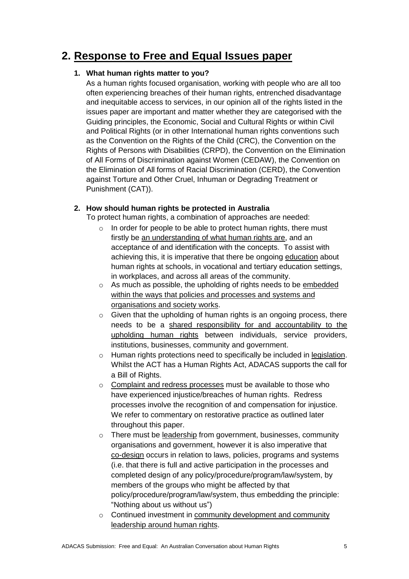## <span id="page-4-0"></span>**2. Response to Free and Equal Issues paper**

### **1. What human rights matter to you?**

As a human rights focused organisation, working with people who are all too often experiencing breaches of their human rights, entrenched disadvantage and inequitable access to services, in our opinion all of the rights listed in the issues paper are important and matter whether they are categorised with the Guiding principles, the Economic, Social and Cultural Rights or within Civil and Political Rights (or in other International human rights conventions such as the Convention on the Rights of the Child (CRC), the Convention on the Rights of Persons with Disabilities (CRPD), the Convention on the Elimination of All Forms of Discrimination against Women (CEDAW), the Convention on the Elimination of All forms of Racial Discrimination (CERD), the Convention against Torture and Other Cruel, Inhuman or Degrading Treatment or Punishment (CAT)).

## **2. How should human rights be protected in Australia**

To protect human rights, a combination of approaches are needed:

- $\circ$  In order for people to be able to protect human rights, there must firstly be an understanding of what human rights are, and an acceptance of and identification with the concepts. To assist with achieving this, it is imperative that there be ongoing education about human rights at schools, in vocational and tertiary education settings, in workplaces, and across all areas of the community.
- o As much as possible, the upholding of rights needs to be embedded within the ways that policies and processes and systems and organisations and society works.
- $\circ$  Given that the upholding of human rights is an ongoing process, there needs to be a shared responsibility for and accountability to the upholding human rights between individuals, service providers, institutions, businesses, community and government.
- o Human rights protections need to specifically be included in legislation. Whilst the ACT has a Human Rights Act, ADACAS supports the call for a Bill of Rights.
- o Complaint and redress processes must be available to those who have experienced injustice/breaches of human rights. Redress processes involve the recognition of and compensation for injustice. We refer to commentary on restorative practice as outlined later throughout this paper.
- o There must be leadership from government, businesses, community organisations and government, however it is also imperative that co-design occurs in relation to laws, policies, programs and systems (i.e. that there is full and active participation in the processes and completed design of any policy/procedure/program/law/system, by members of the groups who might be affected by that policy/procedure/program/law/system, thus embedding the principle: "Nothing about us without us")
- o Continued investment in community development and community leadership around human rights.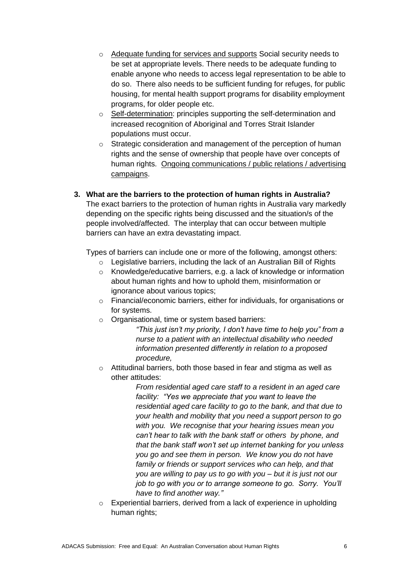- o Adequate funding for services and supports Social security needs to be set at appropriate levels. There needs to be adequate funding to enable anyone who needs to access legal representation to be able to do so. There also needs to be sufficient funding for refuges, for public housing, for mental health support programs for disability employment programs, for older people etc.
- o Self-determination: principles supporting the self-determination and increased recognition of Aboriginal and Torres Strait Islander populations must occur.
- o Strategic consideration and management of the perception of human rights and the sense of ownership that people have over concepts of human rights. Ongoing communications / public relations / advertising campaigns.
- **3. What are the barriers to the protection of human rights in Australia?** The exact barriers to the protection of human rights in Australia vary markedly depending on the specific rights being discussed and the situation/s of the people involved/affected. The interplay that can occur between multiple barriers can have an extra devastating impact.

Types of barriers can include one or more of the following, amongst others:

- o Legislative barriers, including the lack of an Australian Bill of Rights
- o Knowledge/educative barriers, e.g. a lack of knowledge or information about human rights and how to uphold them, misinformation or ignorance about various topics;
- o Financial/economic barriers, either for individuals, for organisations or for systems.
- o Organisational, time or system based barriers:

*"This just isn't my priority, I don't have time to help you" from a nurse to a patient with an intellectual disability who needed information presented differently in relation to a proposed procedure,* 

o Attitudinal barriers, both those based in fear and stigma as well as other attitudes:

> *From residential aged care staff to a resident in an aged care facility: "Yes we appreciate that you want to leave the residential aged care facility to go to the bank, and that due to your health and mobility that you need a support person to go with you. We recognise that your hearing issues mean you can't hear to talk with the bank staff or others by phone, and that the bank staff won't set up internet banking for you unless you go and see them in person. We know you do not have family or friends or support services who can help, and that you are willing to pay us to go with you – but it is just not our job to go with you or to arrange someone to go. Sorry. You'll have to find another way."*

o Experiential barriers, derived from a lack of experience in upholding human rights;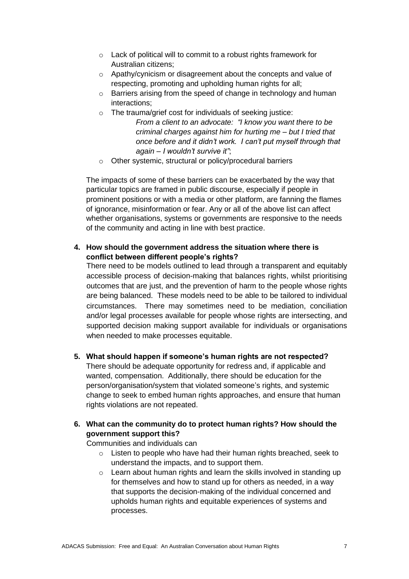- o Lack of political will to commit to a robust rights framework for Australian citizens;
- o Apathy/cynicism or disagreement about the concepts and value of respecting, promoting and upholding human rights for all;
- o Barriers arising from the speed of change in technology and human interactions;
- $\circ$  The trauma/grief cost for individuals of seeking justice:
	- *From a client to an advocate: "I know you want there to be criminal charges against him for hurting me – but I tried that once before and it didn't work. I can't put myself through that again – I wouldn't survive it"*;
- o Other systemic, structural or policy/procedural barriers

The impacts of some of these barriers can be exacerbated by the way that particular topics are framed in public discourse, especially if people in prominent positions or with a media or other platform, are fanning the flames of ignorance, misinformation or fear. Any or all of the above list can affect whether organisations, systems or governments are responsive to the needs of the community and acting in line with best practice.

**4. How should the government address the situation where there is conflict between different people's rights?**

There need to be models outlined to lead through a transparent and equitably accessible process of decision-making that balances rights, whilst prioritising outcomes that are just, and the prevention of harm to the people whose rights are being balanced. These models need to be able to be tailored to individual circumstances. There may sometimes need to be mediation, conciliation and/or legal processes available for people whose rights are intersecting, and supported decision making support available for individuals or organisations when needed to make processes equitable.

- **5. What should happen if someone's human rights are not respected?** There should be adequate opportunity for redress and, if applicable and wanted, compensation. Additionally, there should be education for the person/organisation/system that violated someone's rights, and systemic change to seek to embed human rights approaches, and ensure that human rights violations are not repeated.
- **6. What can the community do to protect human rights? How should the government support this?**

Communities and individuals can

- o Listen to people who have had their human rights breached, seek to understand the impacts, and to support them.
- o Learn about human rights and learn the skills involved in standing up for themselves and how to stand up for others as needed, in a way that supports the decision-making of the individual concerned and upholds human rights and equitable experiences of systems and processes.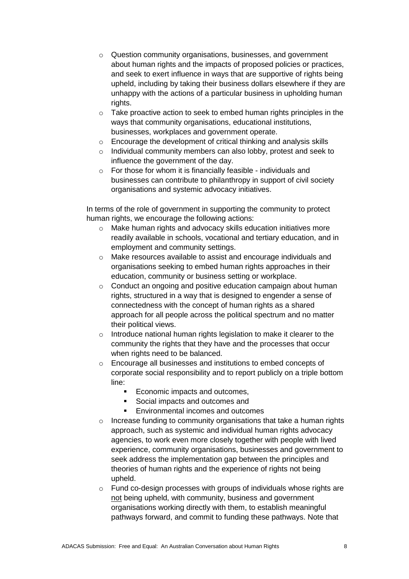- o Question community organisations, businesses, and government about human rights and the impacts of proposed policies or practices, and seek to exert influence in ways that are supportive of rights being upheld, including by taking their business dollars elsewhere if they are unhappy with the actions of a particular business in upholding human rights.
- o Take proactive action to seek to embed human rights principles in the ways that community organisations, educational institutions, businesses, workplaces and government operate.
- o Encourage the development of critical thinking and analysis skills
- o Individual community members can also lobby, protest and seek to influence the government of the day.
- o For those for whom it is financially feasible individuals and businesses can contribute to philanthropy in support of civil society organisations and systemic advocacy initiatives.

In terms of the role of government in supporting the community to protect human rights, we encourage the following actions:

- o Make human rights and advocacy skills education initiatives more readily available in schools, vocational and tertiary education, and in employment and community settings.
- o Make resources available to assist and encourage individuals and organisations seeking to embed human rights approaches in their education, community or business setting or workplace.
- o Conduct an ongoing and positive education campaign about human rights, structured in a way that is designed to engender a sense of connectedness with the concept of human rights as a shared approach for all people across the political spectrum and no matter their political views.
- o Introduce national human rights legislation to make it clearer to the community the rights that they have and the processes that occur when rights need to be balanced.
- o Encourage all businesses and institutions to embed concepts of corporate social responsibility and to report publicly on a triple bottom line:
	- Economic impacts and outcomes,
	- Social impacts and outcomes and
	- **Environmental incomes and outcomes**
- o Increase funding to community organisations that take a human rights approach, such as systemic and individual human rights advocacy agencies, to work even more closely together with people with lived experience, community organisations, businesses and government to seek address the implementation gap between the principles and theories of human rights and the experience of rights not being upheld.
- o Fund co-design processes with groups of individuals whose rights are not being upheld, with community, business and government organisations working directly with them, to establish meaningful pathways forward, and commit to funding these pathways. Note that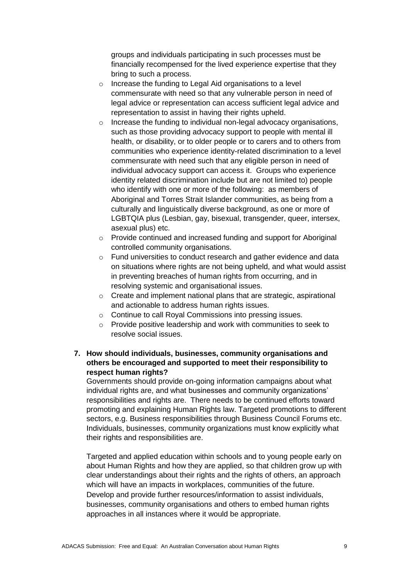groups and individuals participating in such processes must be financially recompensed for the lived experience expertise that they bring to such a process.

- o Increase the funding to Legal Aid organisations to a level commensurate with need so that any vulnerable person in need of legal advice or representation can access sufficient legal advice and representation to assist in having their rights upheld.
- o Increase the funding to individual non-legal advocacy organisations, such as those providing advocacy support to people with mental ill health, or disability, or to older people or to carers and to others from communities who experience identity-related discrimination to a level commensurate with need such that any eligible person in need of individual advocacy support can access it. Groups who experience identity related discrimination include but are not limited to) people who identify with one or more of the following: as members of Aboriginal and Torres Strait Islander communities, as being from a culturally and linguistically diverse background, as one or more of LGBTQIA plus (Lesbian, gay, bisexual, transgender, queer, intersex, asexual plus) etc.
- o Provide continued and increased funding and support for Aboriginal controlled community organisations.
- o Fund universities to conduct research and gather evidence and data on situations where rights are not being upheld, and what would assist in preventing breaches of human rights from occurring, and in resolving systemic and organisational issues.
- o Create and implement national plans that are strategic, aspirational and actionable to address human rights issues.
- o Continue to call Royal Commissions into pressing issues.
- o Provide positive leadership and work with communities to seek to resolve social issues.
- **7. How should individuals, businesses, community organisations and others be encouraged and supported to meet their responsibility to respect human rights?**

Governments should provide on-going information campaigns about what individual rights are, and what businesses and community organizations' responsibilities and rights are. There needs to be continued efforts toward promoting and explaining Human Rights law. Targeted promotions to different sectors, e.g. Business responsibilities through Business Council Forums etc. Individuals, businesses, community organizations must know explicitly what their rights and responsibilities are.

Targeted and applied education within schools and to young people early on about Human Rights and how they are applied, so that children grow up with clear understandings about their rights and the rights of others, an approach which will have an impacts in workplaces, communities of the future. Develop and provide further resources/information to assist individuals, businesses, community organisations and others to embed human rights approaches in all instances where it would be appropriate.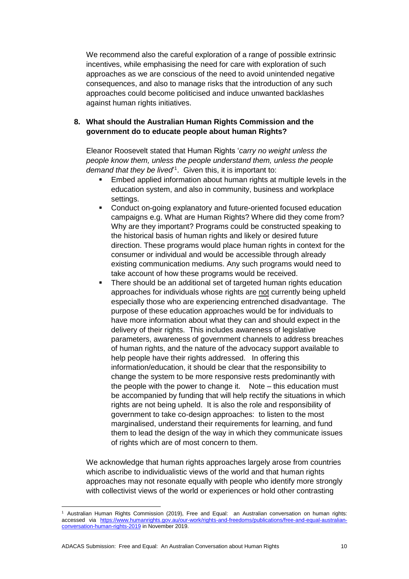We recommend also the careful exploration of a range of possible extrinsic incentives, while emphasising the need for care with exploration of such approaches as we are conscious of the need to avoid unintended negative consequences, and also to manage risks that the introduction of any such approaches could become politicised and induce unwanted backlashes against human rights initiatives.

#### **8. What should the Australian Human Rights Commission and the government do to educate people about human Rights?**

Eleanor Roosevelt stated that Human Rights '*carry no weight unless the people know them, unless the people understand them, unless the people demand that they be lived*' 1 . Given this, it is important to:

- Embed applied information about human rights at multiple levels in the education system, and also in community, business and workplace settings.
- Conduct on-going explanatory and future-oriented focused education campaigns e.g. What are Human Rights? Where did they come from? Why are they important? Programs could be constructed speaking to the historical basis of human rights and likely or desired future direction. These programs would place human rights in context for the consumer or individual and would be accessible through already existing communication mediums. Any such programs would need to take account of how these programs would be received.
- There should be an additional set of targeted human rights education approaches for individuals whose rights are not currently being upheld especially those who are experiencing entrenched disadvantage. The purpose of these education approaches would be for individuals to have more information about what they can and should expect in the delivery of their rights. This includes awareness of legislative parameters, awareness of government channels to address breaches of human rights, and the nature of the advocacy support available to help people have their rights addressed. In offering this information/education, it should be clear that the responsibility to change the system to be more responsive rests predominantly with the people with the power to change it. Note – this education must be accompanied by funding that will help rectify the situations in which rights are not being upheld. It is also the role and responsibility of government to take co-design approaches: to listen to the most marginalised, understand their requirements for learning, and fund them to lead the design of the way in which they communicate issues of rights which are of most concern to them.

We acknowledge that human rights approaches largely arose from countries which ascribe to individualistic views of the world and that human rights approaches may not resonate equally with people who identify more strongly with collectivist views of the world or experiences or hold other contrasting

 $\overline{a}$ 

<sup>1</sup> Australian Human Rights Commission (2019), Free and Equal: an Australian conversation on human rights: accessed via [https://www.humanrights.gov.au/our-work/rights-and-freedoms/publications/free-and-equal-australian](https://www.humanrights.gov.au/our-work/rights-and-freedoms/publications/free-and-equal-australian-conversation-human-rights-2019)[conversation-human-rights-2019](https://www.humanrights.gov.au/our-work/rights-and-freedoms/publications/free-and-equal-australian-conversation-human-rights-2019) in November 2019.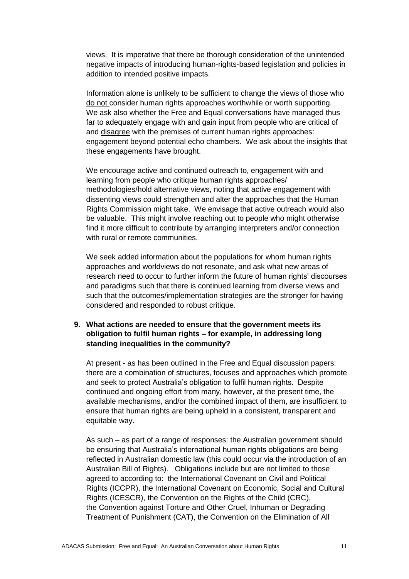views. It is imperative that there be thorough consideration of the unintended negative impacts of introducing human-rights-based legislation and policies in addition to intended positive impacts.

Information alone is unlikely to be sufficient to change the views of those who do not consider human rights approaches worthwhile or worth supporting. We ask also whether the Free and Equal conversations have managed thus far to adequately engage with and gain input from people who are critical of and disagree with the premises of current human rights approaches: engagement beyond potential echo chambers. We ask about the insights that these engagements have brought.

We encourage active and continued outreach to, engagement with and learning from people who critique human rights approaches/ methodologies/hold alternative views, noting that active engagement with dissenting views could strengthen and alter the approaches that the Human Rights Commission might take. We envisage that active outreach would also be valuable. This might involve reaching out to people who might otherwise find it more difficult to contribute by arranging interpreters and/or connection with rural or remote communities.

We seek added information about the populations for whom human rights approaches and worldviews do not resonate, and ask what new areas of research need to occur to further inform the future of human rights' discourses and paradigms such that there is continued learning from diverse views and such that the outcomes/implementation strategies are the stronger for having considered and responded to robust critique.

#### **9. What actions are needed to ensure that the government meets its obligation to fulfil human rights – for example, in addressing long standing inequalities in the community?**

At present - as has been outlined in the Free and Equal discussion papers: there are a combination of structures, focuses and approaches which promote and seek to protect Australia's obligation to fulfil human rights. Despite continued and ongoing effort from many, however, at the present time, the available mechanisms, and/or the combined impact of them, are insufficient to ensure that human rights are being upheld in a consistent, transparent and equitable way.

As such – as part of a range of responses: the Australian government should be ensuring that Australia's international human rights obligations are being reflected in Australian domestic law (this could occur via the introduction of an Australian Bill of Rights). Obligations include but are not limited to those agreed to according to: the International Covenant on Civil and Political Rights (ICCPR), the International Covenant on Economic, Social and Cultural Rights (ICESCR), the Convention on the Rights of the Child (CRC), the Convention against Torture and Other Cruel, Inhuman or Degrading Treatment of Punishment (CAT), the Convention on the Elimination of All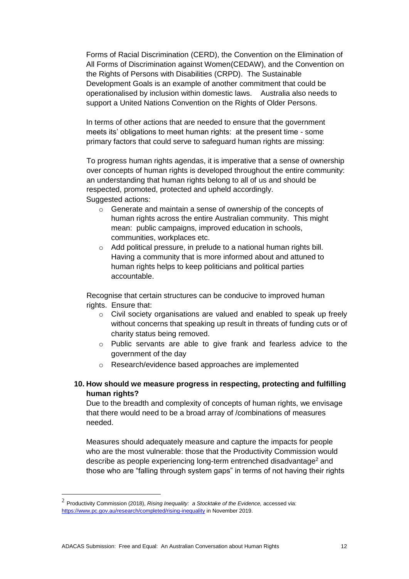Forms of Racial Discrimination (CERD), the Convention on the Elimination of All Forms of Discrimination against Women(CEDAW), and the Convention on the Rights of Persons with Disabilities (CRPD). The Sustainable Development Goals is an example of another commitment that could be operationalised by inclusion within domestic laws. Australia also needs to support a United Nations Convention on the Rights of Older Persons.

In terms of other actions that are needed to ensure that the government meets its' obligations to meet human rights: at the present time - some primary factors that could serve to safeguard human rights are missing:

To progress human rights agendas, it is imperative that a sense of ownership over concepts of human rights is developed throughout the entire community: an understanding that human rights belong to all of us and should be respected, promoted, protected and upheld accordingly. Suggested actions:

- o Generate and maintain a sense of ownership of the concepts of human rights across the entire Australian community. This might mean: public campaigns, improved education in schools, communities, workplaces etc.
- o Add political pressure, in prelude to a national human rights bill. Having a community that is more informed about and attuned to human rights helps to keep politicians and political parties accountable.

Recognise that certain structures can be conducive to improved human rights. Ensure that:

- $\circ$  Civil society organisations are valued and enabled to speak up freely without concerns that speaking up result in threats of funding cuts or of charity status being removed.
- o Public servants are able to give frank and fearless advice to the government of the day
- o Research/evidence based approaches are implemented

#### **10. How should we measure progress in respecting, protecting and fulfilling human rights?**

Due to the breadth and complexity of concepts of human rights, we envisage that there would need to be a broad array of /combinations of measures needed.

Measures should adequately measure and capture the impacts for people who are the most vulnerable: those that the Productivity Commission would describe as people experiencing long-term entrenched disadvantage<sup>2</sup> and those who are "falling through system gaps" in terms of not having their rights

 $\overline{a}$ 

<sup>2</sup> Productivity Commission (2018), *Rising Inequality: a Stocktake of the Evidence,* accessed via: <https://www.pc.gov.au/research/completed/rising-inequality> in November 2019.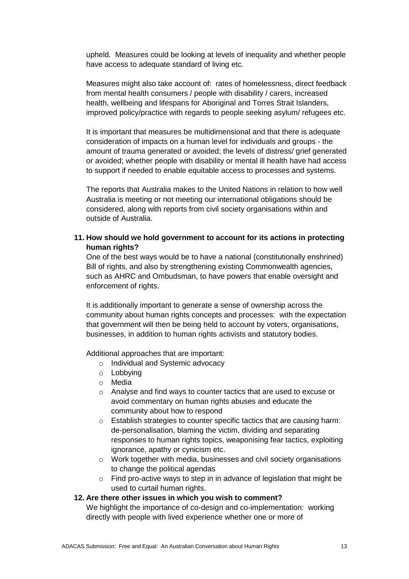upheld. Measures could be looking at levels of inequality and whether people have access to adequate standard of living etc.

Measures might also take account of: rates of homelessness, direct feedback from mental health consumers / people with disability / carers, increased health, wellbeing and lifespans for Aboriginal and Torres Strait Islanders, improved policy/practice with regards to people seeking asylum/ refugees etc.

It is important that measures be multidimensional and that there is adequate consideration of impacts on a human level for individuals and groups - the amount of trauma generated or avoided; the levels of distress/ grief generated or avoided; whether people with disability or mental ill health have had access to support if needed to enable equitable access to processes and systems.

The reports that Australia makes to the United Nations in relation to how well Australia is meeting or not meeting our international obligations should be considered, along with reports from civil society organisations within and outside of Australia.

#### **11. How should we hold government to account for its actions in protecting human rights?**

One of the best ways would be to have a national (constitutionally enshrined) Bill of rights, and also by strengthening existing Commonwealth agencies, such as AHRC and Ombudsman, to have powers that enable oversight and enforcement of rights.

It is additionally important to generate a sense of ownership across the community about human rights concepts and processes: with the expectation that government will then be being held to account by voters, organisations, businesses, in addition to human rights activists and statutory bodies.

Additional approaches that are important:

- o Individual and Systemic advocacy
- o Lobbying
- o Media
- o Analyse and find ways to counter tactics that are used to excuse or avoid commentary on human rights abuses and educate the community about how to respond
- o Establish strategies to counter specific tactics that are causing harm: de-personalisation, blaming the victim, dividing and separating responses to human rights topics, weaponising fear tactics, exploiting ignorance, apathy or cynicism etc.
- o Work together with media, businesses and civil society organisations to change the political agendas
- o Find pro-active ways to step in in advance of legislation that might be used to curtail human rights.

#### **12. Are there other issues in which you wish to comment?**

We highlight the importance of co-design and co-implementation: working directly with people with lived experience whether one or more of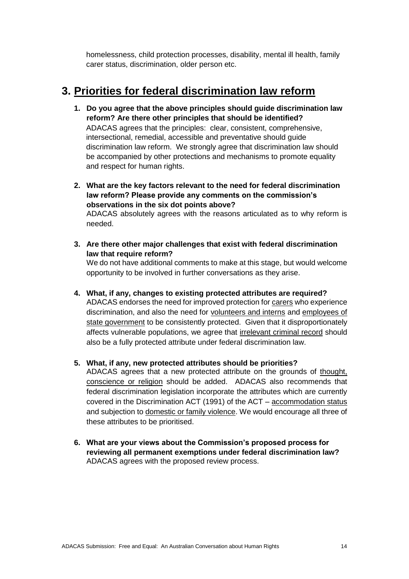homelessness, child protection processes, disability, mental ill health, family carer status, discrimination, older person etc.

## <span id="page-13-0"></span>**3. Priorities for federal discrimination law reform**

- **1. Do you agree that the above principles should guide discrimination law reform? Are there other principles that should be identified?**  ADACAS agrees that the principles: clear, consistent, comprehensive, intersectional, remedial, accessible and preventative should guide discrimination law reform. We strongly agree that discrimination law should be accompanied by other protections and mechanisms to promote equality and respect for human rights.
- **2. What are the key factors relevant to the need for federal discrimination law reform? Please provide any comments on the commission's observations in the six dot points above?** ADACAS absolutely agrees with the reasons articulated as to why reform is needed.
- **3. Are there other major challenges that exist with federal discrimination law that require reform?**

We do not have additional comments to make at this stage, but would welcome opportunity to be involved in further conversations as they arise.

**4. What, if any, changes to existing protected attributes are required?** ADACAS endorses the need for improved protection for carers who experience discrimination, and also the need for volunteers and interns and employees of state government to be consistently protected. Given that it disproportionately affects vulnerable populations, we agree that irrelevant criminal record should also be a fully protected attribute under federal discrimination law.

#### **5. What, if any, new protected attributes should be priorities?**

ADACAS agrees that a new protected attribute on the grounds of thought, conscience or religion should be added. ADACAS also recommends that federal discrimination legislation incorporate the attributes which are currently covered in the Discrimination ACT (1991) of the ACT – accommodation status and subjection to domestic or family violence. We would encourage all three of these attributes to be prioritised.

**6. What are your views about the Commission's proposed process for reviewing all permanent exemptions under federal discrimination law?** ADACAS agrees with the proposed review process.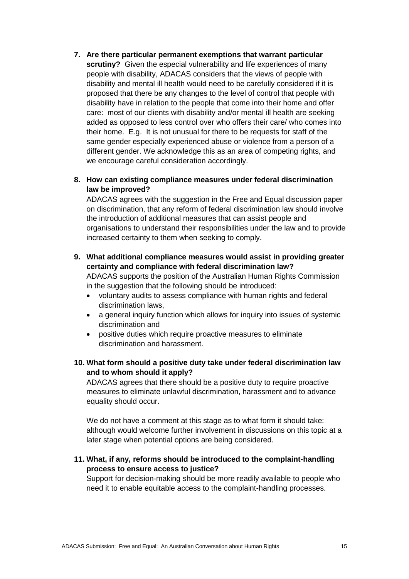- **7. Are there particular permanent exemptions that warrant particular scrutiny?** Given the especial vulnerability and life experiences of many people with disability, ADACAS considers that the views of people with disability and mental ill health would need to be carefully considered if it is proposed that there be any changes to the level of control that people with disability have in relation to the people that come into their home and offer care: most of our clients with disability and/or mental ill health are seeking added as opposed to less control over who offers their care/ who comes into their home. E.g. It is not unusual for there to be requests for staff of the same gender especially experienced abuse or violence from a person of a different gender. We acknowledge this as an area of competing rights, and we encourage careful consideration accordingly.
- **8. How can existing compliance measures under federal discrimination law be improved?**

ADACAS agrees with the suggestion in the Free and Equal discussion paper on discrimination, that any reform of federal discrimination law should involve the introduction of additional measures that can assist people and organisations to understand their responsibilities under the law and to provide increased certainty to them when seeking to comply.

**9. What additional compliance measures would assist in providing greater certainty and compliance with federal discrimination law?**

ADACAS supports the position of the Australian Human Rights Commission in the suggestion that the following should be introduced:

- voluntary audits to assess compliance with human rights and federal discrimination laws,
- a general inquiry function which allows for inquiry into issues of systemic discrimination and
- positive duties which require proactive measures to eliminate discrimination and harassment.
- **10. What form should a positive duty take under federal discrimination law and to whom should it apply?**

ADACAS agrees that there should be a positive duty to require proactive measures to eliminate unlawful discrimination, harassment and to advance equality should occur.

We do not have a comment at this stage as to what form it should take: although would welcome further involvement in discussions on this topic at a later stage when potential options are being considered.

**11. What, if any, reforms should be introduced to the complaint-handling process to ensure access to justice?**

Support for decision-making should be more readily available to people who need it to enable equitable access to the complaint-handling processes.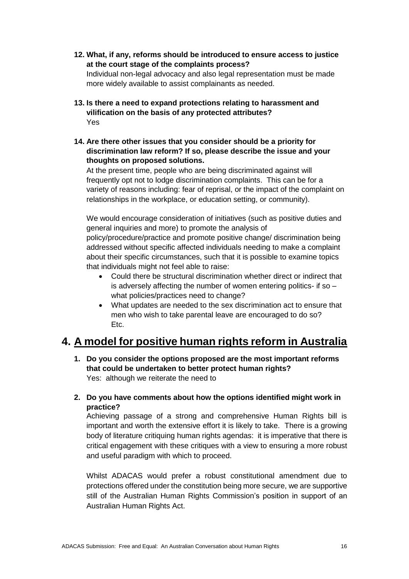- **12. What, if any, reforms should be introduced to ensure access to justice at the court stage of the complaints process?** Individual non-legal advocacy and also legal representation must be made
- **13. Is there a need to expand protections relating to harassment and vilification on the basis of any protected attributes?** Yes

more widely available to assist complainants as needed.

**14. Are there other issues that you consider should be a priority for discrimination law reform? If so, please describe the issue and your thoughts on proposed solutions.**

At the present time, people who are being discriminated against will frequently opt not to lodge discrimination complaints. This can be for a variety of reasons including: fear of reprisal, or the impact of the complaint on relationships in the workplace, or education setting, or community).

We would encourage consideration of initiatives (such as positive duties and general inquiries and more) to promote the analysis of policy/procedure/practice and promote positive change/ discrimination being

addressed without specific affected individuals needing to make a complaint about their specific circumstances, such that it is possible to examine topics that individuals might not feel able to raise:

- Could there be structural discrimination whether direct or indirect that is adversely affecting the number of women entering politics- if so – what policies/practices need to change?
- What updates are needed to the sex discrimination act to ensure that men who wish to take parental leave are encouraged to do so? Etc.

# <span id="page-15-0"></span>**4. A model for positive human rights reform in Australia**

- **1. Do you consider the options proposed are the most important reforms that could be undertaken to better protect human rights?** Yes: although we reiterate the need to
- **2. Do you have comments about how the options identified might work in practice?**

Achieving passage of a strong and comprehensive Human Rights bill is important and worth the extensive effort it is likely to take. There is a growing body of literature critiquing human rights agendas: it is imperative that there is critical engagement with these critiques with a view to ensuring a more robust and useful paradigm with which to proceed.

Whilst ADACAS would prefer a robust constitutional amendment due to protections offered under the constitution being more secure, we are supportive still of the Australian Human Rights Commission's position in support of an Australian Human Rights Act.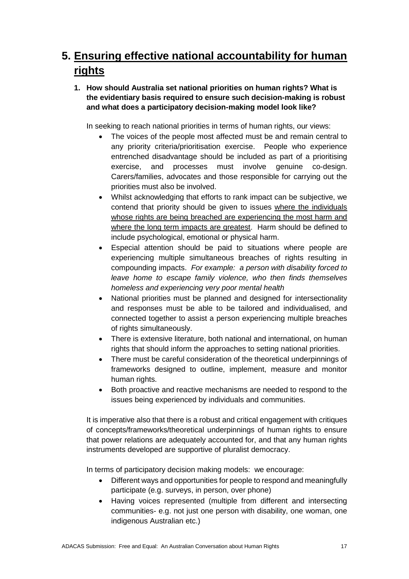# <span id="page-16-0"></span>**5. Ensuring effective national accountability for human rights**

**1. How should Australia set national priorities on human rights? What is the evidentiary basis required to ensure such decision-making is robust and what does a participatory decision-making model look like?** 

In seeking to reach national priorities in terms of human rights, our views:

- The voices of the people most affected must be and remain central to any priority criteria/prioritisation exercise. People who experience entrenched disadvantage should be included as part of a prioritising exercise, and processes must involve genuine co-design. Carers/families, advocates and those responsible for carrying out the priorities must also be involved.
- Whilst acknowledging that efforts to rank impact can be subjective, we contend that priority should be given to issues where the individuals whose rights are being breached are experiencing the most harm and where the long term impacts are greatest. Harm should be defined to include psychological, emotional or physical harm.
- Especial attention should be paid to situations where people are experiencing multiple simultaneous breaches of rights resulting in compounding impacts. *For example: a person with disability forced to leave home to escape family violence, who then finds themselves homeless and experiencing very poor mental health*
- National priorities must be planned and designed for intersectionality and responses must be able to be tailored and individualised, and connected together to assist a person experiencing multiple breaches of rights simultaneously.
- There is extensive literature, both national and international, on human rights that should inform the approaches to setting national priorities.
- There must be careful consideration of the theoretical underpinnings of frameworks designed to outline, implement, measure and monitor human rights.
- Both proactive and reactive mechanisms are needed to respond to the issues being experienced by individuals and communities.

It is imperative also that there is a robust and critical engagement with critiques of concepts/frameworks/theoretical underpinnings of human rights to ensure that power relations are adequately accounted for, and that any human rights instruments developed are supportive of pluralist democracy.

In terms of participatory decision making models: we encourage:

- Different ways and opportunities for people to respond and meaningfully participate (e.g. surveys, in person, over phone)
- Having voices represented (multiple from different and intersecting communities- e.g. not just one person with disability, one woman, one indigenous Australian etc.)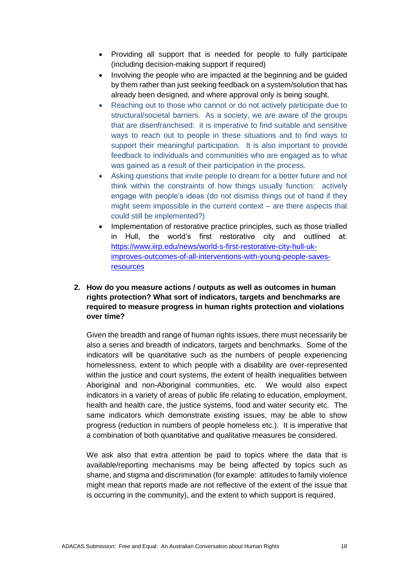- Providing all support that is needed for people to fully participate (including decision-making support if required)
- Involving the people who are impacted at the beginning and be quided by them rather than just seeking feedback on a system/solution that has already been designed, and where approval only is being sought.
- Reaching out to those who cannot or do not actively participate due to structural/societal barriers. As a society, we are aware of the groups that are disenfranchised: it is imperative to find suitable and sensitive ways to reach out to people in these situations and to find ways to support their meaningful participation. It is also important to provide feedback to individuals and communities who are engaged as to what was gained as a result of their participation in the process.
- Asking questions that invite people to dream for a better future and not think within the constraints of how things usually function: actively engage with people's ideas (do not dismiss things out of hand if they might seem impossible in the current context – are there aspects that could still be implemented?)
- Implementation of restorative practice principles, such as those trialled in Hull, the world's first restorative city and outlined at: [https://www.iirp.edu/news/world-s-first-restorative-city-hull-uk](https://www.iirp.edu/news/world-s-first-restorative-city-hull-uk-improves-outcomes-of-all-interventions-with-young-people-saves-resources)[improves-outcomes-of-all-interventions-with-young-people-saves](https://www.iirp.edu/news/world-s-first-restorative-city-hull-uk-improves-outcomes-of-all-interventions-with-young-people-saves-resources)[resources](https://www.iirp.edu/news/world-s-first-restorative-city-hull-uk-improves-outcomes-of-all-interventions-with-young-people-saves-resources)

#### **2. How do you measure actions / outputs as well as outcomes in human rights protection? What sort of indicators, targets and benchmarks are required to measure progress in human rights protection and violations over time?**

Given the breadth and range of human rights issues, there must necessarily be also a series and breadth of indicators, targets and benchmarks. Some of the indicators will be quantitative such as the numbers of people experiencing homelessness, extent to which people with a disability are over-represented within the justice and court systems, the extent of health inequalities between Aboriginal and non-Aboriginal communities, etc. We would also expect indicators in a variety of areas of public life relating to education, employment, health and health care, the justice systems, food and water security etc. The same indicators which demonstrate existing issues, may be able to show progress (reduction in numbers of people homeless etc.). It is imperative that a combination of both quantitative and qualitative measures be considered.

We ask also that extra attention be paid to topics where the data that is available/reporting mechanisms may be being affected by topics such as shame, and stigma and discrimination (for example: attitudes to family violence might mean that reports made are not reflective of the extent of the issue that is occurring in the community), and the extent to which support is required.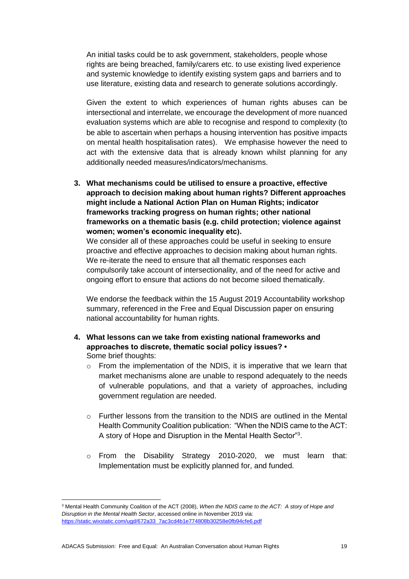An initial tasks could be to ask government, stakeholders, people whose rights are being breached, family/carers etc. to use existing lived experience and systemic knowledge to identify existing system gaps and barriers and to use literature, existing data and research to generate solutions accordingly.

Given the extent to which experiences of human rights abuses can be intersectional and interrelate, we encourage the development of more nuanced evaluation systems which are able to recognise and respond to complexity (to be able to ascertain when perhaps a housing intervention has positive impacts on mental health hospitalisation rates). We emphasise however the need to act with the extensive data that is already known whilst planning for any additionally needed measures/indicators/mechanisms.

**3. What mechanisms could be utilised to ensure a proactive, effective approach to decision making about human rights? Different approaches might include a National Action Plan on Human Rights; indicator frameworks tracking progress on human rights; other national frameworks on a thematic basis (e.g. child protection; violence against women; women's economic inequality etc).** 

We consider all of these approaches could be useful in seeking to ensure proactive and effective approaches to decision making about human rights. We re-iterate the need to ensure that all thematic responses each compulsorily take account of intersectionality, and of the need for active and ongoing effort to ensure that actions do not become siloed thematically.

We endorse the feedback within the 15 August 2019 Accountability workshop summary, referenced in the Free and Equal Discussion paper on ensuring national accountability for human rights.

- **4. What lessons can we take from existing national frameworks and approaches to discrete, thematic social policy issues? •**  Some brief thoughts:
	- $\circ$  From the implementation of the NDIS, it is imperative that we learn that market mechanisms alone are unable to respond adequately to the needs of vulnerable populations, and that a variety of approaches, including government regulation are needed.
	- $\circ$  Further lessons from the transition to the NDIS are outlined in the Mental Health Community Coalition publication: "When the NDIS came to the ACT: A story of Hope and Disruption in the Mental Health Sector"<sup>3</sup>.
	- $\circ$  From the Disability Strategy 2010-2020, we must learn that: Implementation must be explicitly planned for, and funded.

 $\overline{a}$ 

<sup>3</sup> Mental Health Community Coalition of the ACT (2008), *When the NDIS came to the ACT: A story of Hope and Disruption in the Mental Health Sector*, accessed online in November 2019 via: [https://static.wixstatic.com/ugd/672a33\\_7ac3cd4b1e774808b30258e0fb94cfe6.pdf](https://static.wixstatic.com/ugd/672a33_7ac3cd4b1e774808b30258e0fb94cfe6.pdf)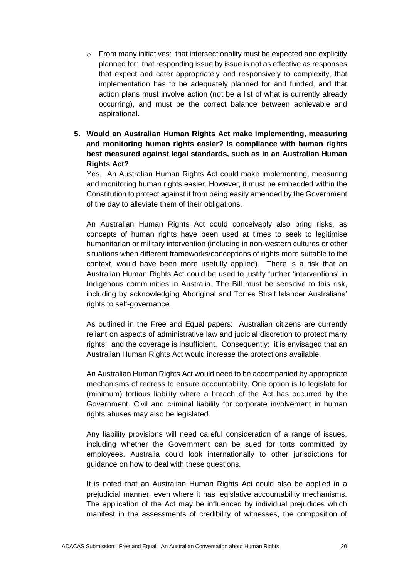- $\circ$  From many initiatives: that intersectionality must be expected and explicitly planned for: that responding issue by issue is not as effective as responses that expect and cater appropriately and responsively to complexity, that implementation has to be adequately planned for and funded, and that action plans must involve action (not be a list of what is currently already occurring), and must be the correct balance between achievable and aspirational.
- **5. Would an Australian Human Rights Act make implementing, measuring and monitoring human rights easier? Is compliance with human rights best measured against legal standards, such as in an Australian Human Rights Act?**

Yes. An Australian Human Rights Act could make implementing, measuring and monitoring human rights easier. However, it must be embedded within the Constitution to protect against it from being easily amended by the Government of the day to alleviate them of their obligations.

An Australian Human Rights Act could conceivably also bring risks, as concepts of human rights have been used at times to seek to legitimise humanitarian or military intervention (including in non-western cultures or other situations when different frameworks/conceptions of rights more suitable to the context, would have been more usefully applied). There is a risk that an Australian Human Rights Act could be used to justify further 'interventions' in Indigenous communities in Australia. The Bill must be sensitive to this risk, including by acknowledging Aboriginal and Torres Strait Islander Australians' rights to self-governance.

As outlined in the Free and Equal papers: Australian citizens are currently reliant on aspects of administrative law and judicial discretion to protect many rights: and the coverage is insufficient. Consequently: it is envisaged that an Australian Human Rights Act would increase the protections available.

An Australian Human Rights Act would need to be accompanied by appropriate mechanisms of redress to ensure accountability. One option is to legislate for (minimum) tortious liability where a breach of the Act has occurred by the Government. Civil and criminal liability for corporate involvement in human rights abuses may also be legislated.

Any liability provisions will need careful consideration of a range of issues, including whether the Government can be sued for torts committed by employees. Australia could look internationally to other jurisdictions for guidance on how to deal with these questions.

It is noted that an Australian Human Rights Act could also be applied in a prejudicial manner, even where it has legislative accountability mechanisms. The application of the Act may be influenced by individual prejudices which manifest in the assessments of credibility of witnesses, the composition of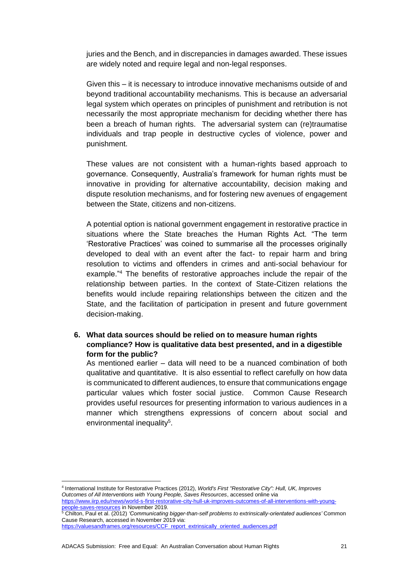juries and the Bench, and in discrepancies in damages awarded. These issues are widely noted and require legal and non-legal responses.

Given this – it is necessary to introduce innovative mechanisms outside of and beyond traditional accountability mechanisms. This is because an adversarial legal system which operates on principles of punishment and retribution is not necessarily the most appropriate mechanism for deciding whether there has been a breach of human rights. The adversarial system can (re)traumatise individuals and trap people in destructive cycles of violence, power and punishment.

These values are not consistent with a human-rights based approach to governance. Consequently, Australia's framework for human rights must be innovative in providing for alternative accountability, decision making and dispute resolution mechanisms, and for fostering new avenues of engagement between the State, citizens and non-citizens.

A potential option is national government engagement in restorative practice in situations where the State breaches the Human Rights Act. "The term 'Restorative Practices' was coined to summarise all the processes originally developed to deal with an event after the fact- to repair harm and bring resolution to victims and offenders in crimes and anti-social behaviour for example."<sup>4</sup> The benefits of restorative approaches include the repair of the relationship between parties. In the context of State-Citizen relations the benefits would include repairing relationships between the citizen and the State, and the facilitation of participation in present and future government decision-making.

#### **6. What data sources should be relied on to measure human rights compliance? How is qualitative data best presented, and in a digestible form for the public?**

As mentioned earlier – data will need to be a nuanced combination of both qualitative and quantitative. It is also essential to reflect carefully on how data is communicated to different audiences, to ensure that communications engage particular values which foster social justice. Common Cause Research provides useful resources for presenting information to various audiences in a manner which strengthens expressions of concern about social and environmental inequality<sup>5</sup>.

 $\overline{a}$ 4 International Institute for Restorative Practices (2012), *World's First "Restorative City": Hull, UK, Improves Outcomes of All Interventions with Young People, Saves Resources*, accessed online via [https://www.iirp.edu/news/world-s-first-restorative-city-hull-uk-improves-outcomes-of-all-interventions-with-young](https://www.iirp.edu/news/world-s-first-restorative-city-hull-uk-improves-outcomes-of-all-interventions-with-young-people-saves-resources)[people-saves-resources](https://www.iirp.edu/news/world-s-first-restorative-city-hull-uk-improves-outcomes-of-all-interventions-with-young-people-saves-resources) in November 2019.

<sup>5</sup> Chilton, Paul et al. (2012) *'Communicating bigger-than-self problems to extrinsically-orientated audiences'* Common Cause Research, accessed in November 2019 via:

[https://valuesandframes.org/resources/CCF\\_report\\_extrinsically\\_oriented\\_audiences.pdf](https://valuesandframes.org/resources/CCF_report_extrinsically_oriented_audiences.pdf)